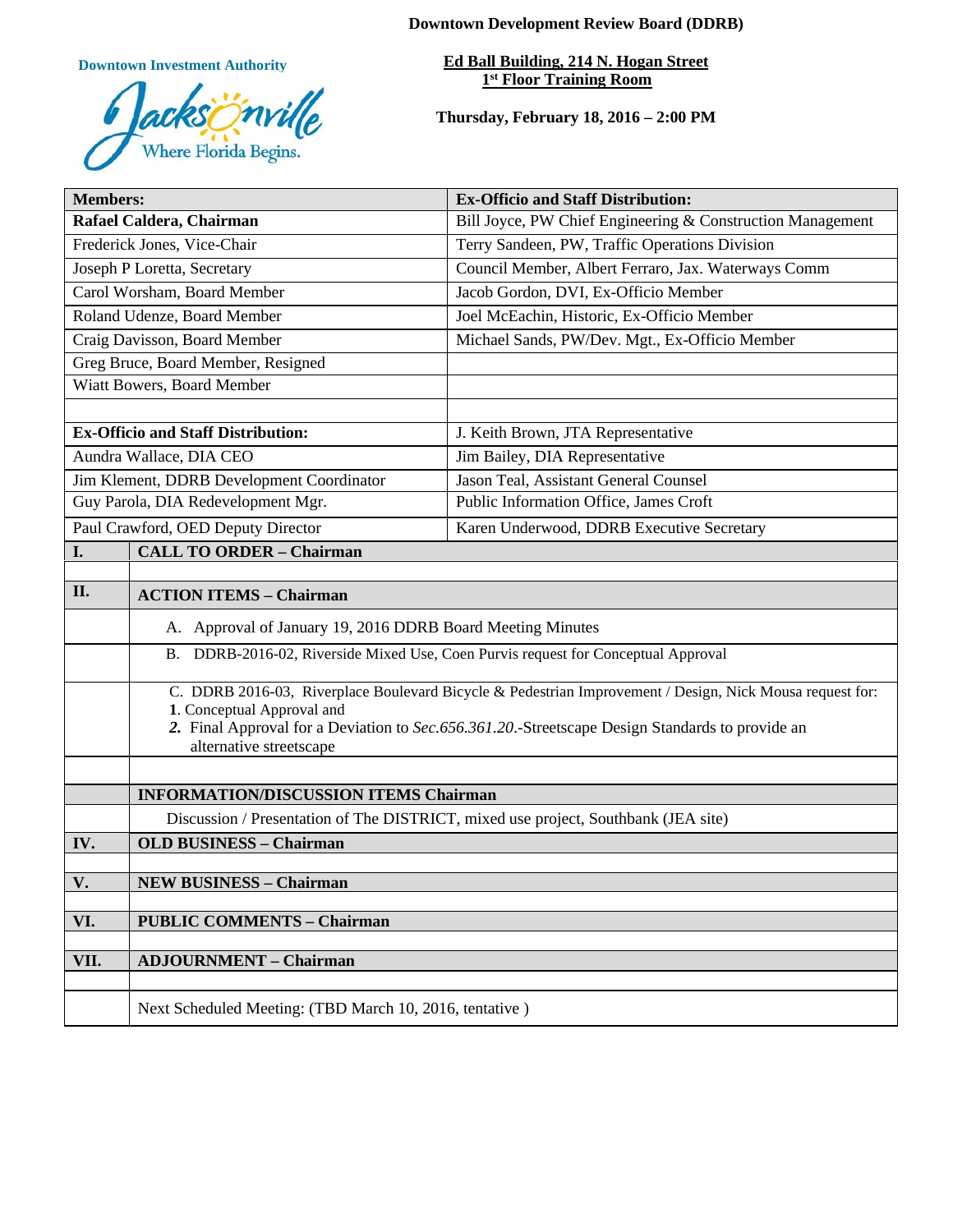**Downtown Investment Authority**



**Downtown Development Review Board (DDRB)**

**Ed Ball Building, 214 N. Hogan Street 1st Floor Training Room** 

**Thursday, February 18, 2016 – 2:00 PM**

| <b>Members:</b>                           |                                                                                                                                                                                                                                                                       | <b>Ex-Officio and Staff Distribution:</b>                  |  |
|-------------------------------------------|-----------------------------------------------------------------------------------------------------------------------------------------------------------------------------------------------------------------------------------------------------------------------|------------------------------------------------------------|--|
| Rafael Caldera, Chairman                  |                                                                                                                                                                                                                                                                       | Bill Joyce, PW Chief Engineering & Construction Management |  |
| Frederick Jones, Vice-Chair               |                                                                                                                                                                                                                                                                       | Terry Sandeen, PW, Traffic Operations Division             |  |
| Joseph P Loretta, Secretary               |                                                                                                                                                                                                                                                                       | Council Member, Albert Ferraro, Jax. Waterways Comm        |  |
| Carol Worsham, Board Member               |                                                                                                                                                                                                                                                                       | Jacob Gordon, DVI, Ex-Officio Member                       |  |
| Roland Udenze, Board Member               |                                                                                                                                                                                                                                                                       | Joel McEachin, Historic, Ex-Officio Member                 |  |
| Craig Davisson, Board Member              |                                                                                                                                                                                                                                                                       | Michael Sands, PW/Dev. Mgt., Ex-Officio Member             |  |
| Greg Bruce, Board Member, Resigned        |                                                                                                                                                                                                                                                                       |                                                            |  |
| Wiatt Bowers, Board Member                |                                                                                                                                                                                                                                                                       |                                                            |  |
|                                           |                                                                                                                                                                                                                                                                       |                                                            |  |
| <b>Ex-Officio and Staff Distribution:</b> |                                                                                                                                                                                                                                                                       | J. Keith Brown, JTA Representative                         |  |
| Aundra Wallace, DIA CEO                   |                                                                                                                                                                                                                                                                       | Jim Bailey, DIA Representative                             |  |
| Jim Klement, DDRB Development Coordinator |                                                                                                                                                                                                                                                                       | Jason Teal, Assistant General Counsel                      |  |
| Guy Parola, DIA Redevelopment Mgr.        |                                                                                                                                                                                                                                                                       | Public Information Office, James Croft                     |  |
| Paul Crawford, OED Deputy Director        |                                                                                                                                                                                                                                                                       | Karen Underwood, DDRB Executive Secretary                  |  |
| I.                                        | <b>CALL TO ORDER - Chairman</b>                                                                                                                                                                                                                                       |                                                            |  |
|                                           |                                                                                                                                                                                                                                                                       |                                                            |  |
| II.                                       | <b>ACTION ITEMS - Chairman</b>                                                                                                                                                                                                                                        |                                                            |  |
|                                           | A. Approval of January 19, 2016 DDRB Board Meeting Minutes                                                                                                                                                                                                            |                                                            |  |
|                                           | B. DDRB-2016-02, Riverside Mixed Use, Coen Purvis request for Conceptual Approval                                                                                                                                                                                     |                                                            |  |
|                                           | C. DDRB 2016-03, Riverplace Boulevard Bicycle & Pedestrian Improvement / Design, Nick Mousa request for:<br>1. Conceptual Approval and<br>2. Final Approval for a Deviation to Sec. 656.361.20. Streetscape Design Standards to provide an<br>alternative streetscape |                                                            |  |
|                                           |                                                                                                                                                                                                                                                                       |                                                            |  |
|                                           | <b>INFORMATION/DISCUSSION ITEMS Chairman</b>                                                                                                                                                                                                                          |                                                            |  |
|                                           | Discussion / Presentation of The DISTRICT, mixed use project, Southbank (JEA site)                                                                                                                                                                                    |                                                            |  |
| IV.                                       | <b>OLD BUSINESS - Chairman</b>                                                                                                                                                                                                                                        |                                                            |  |
|                                           |                                                                                                                                                                                                                                                                       |                                                            |  |
| $\mathbf{V}$ .                            | <b>NEW BUSINESS - Chairman</b>                                                                                                                                                                                                                                        |                                                            |  |
| VI.                                       | <b>PUBLIC COMMENTS - Chairman</b>                                                                                                                                                                                                                                     |                                                            |  |
|                                           |                                                                                                                                                                                                                                                                       |                                                            |  |
| VII.                                      | <b>ADJOURNMENT - Chairman</b>                                                                                                                                                                                                                                         |                                                            |  |
|                                           |                                                                                                                                                                                                                                                                       |                                                            |  |
|                                           | Next Scheduled Meeting: (TBD March 10, 2016, tentative)                                                                                                                                                                                                               |                                                            |  |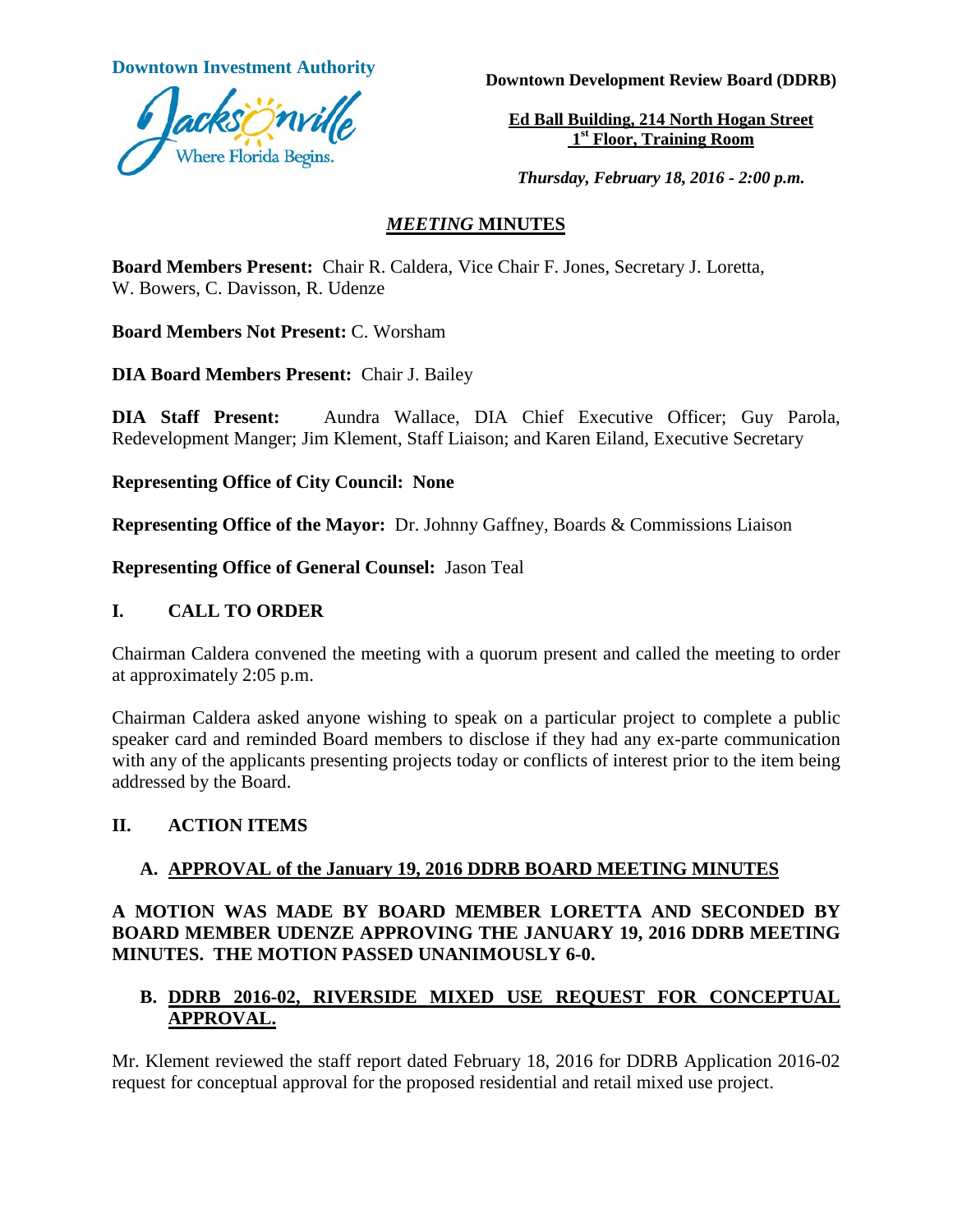

**Downtown Investment Authority Downtown Development Review Board (DDRB)** 

**Ed Ball Building, 214 North Hogan Street 1st Floor, Training Room**

*Thursday, February 18, 2016 - 2:00 p.m.*

#### *MEETING* **MINUTES**

**Board Members Present:** Chair R. Caldera, Vice Chair F. Jones, Secretary J. Loretta, W. Bowers, C. Davisson, R. Udenze

**Board Members Not Present:** C. Worsham

**DIA Board Members Present:** Chair J. Bailey

**DIA Staff Present:** Aundra Wallace, DIA Chief Executive Officer; Guy Parola, Redevelopment Manger; Jim Klement, Staff Liaison; and Karen Eiland, Executive Secretary

**Representing Office of City Council: None**

**Representing Office of the Mayor:** Dr. Johnny Gaffney, Boards & Commissions Liaison

**Representing Office of General Counsel:** Jason Teal

#### **I. CALL TO ORDER**

Chairman Caldera convened the meeting with a quorum present and called the meeting to order at approximately 2:05 p.m.

Chairman Caldera asked anyone wishing to speak on a particular project to complete a public speaker card and reminded Board members to disclose if they had any ex-parte communication with any of the applicants presenting projects today or conflicts of interest prior to the item being addressed by the Board.

# **II. ACTION ITEMS**

# **A. APPROVAL of the January 19, 2016 DDRB BOARD MEETING MINUTES**

# **A MOTION WAS MADE BY BOARD MEMBER LORETTA AND SECONDED BY BOARD MEMBER UDENZE APPROVING THE JANUARY 19, 2016 DDRB MEETING MINUTES. THE MOTION PASSED UNANIMOUSLY 6-0.**

# **B. DDRB 2016-02, RIVERSIDE MIXED USE REQUEST FOR CONCEPTUAL APPROVAL.**

Mr. Klement reviewed the staff report dated February 18, 2016 for DDRB Application 2016-02 request for conceptual approval for the proposed residential and retail mixed use project.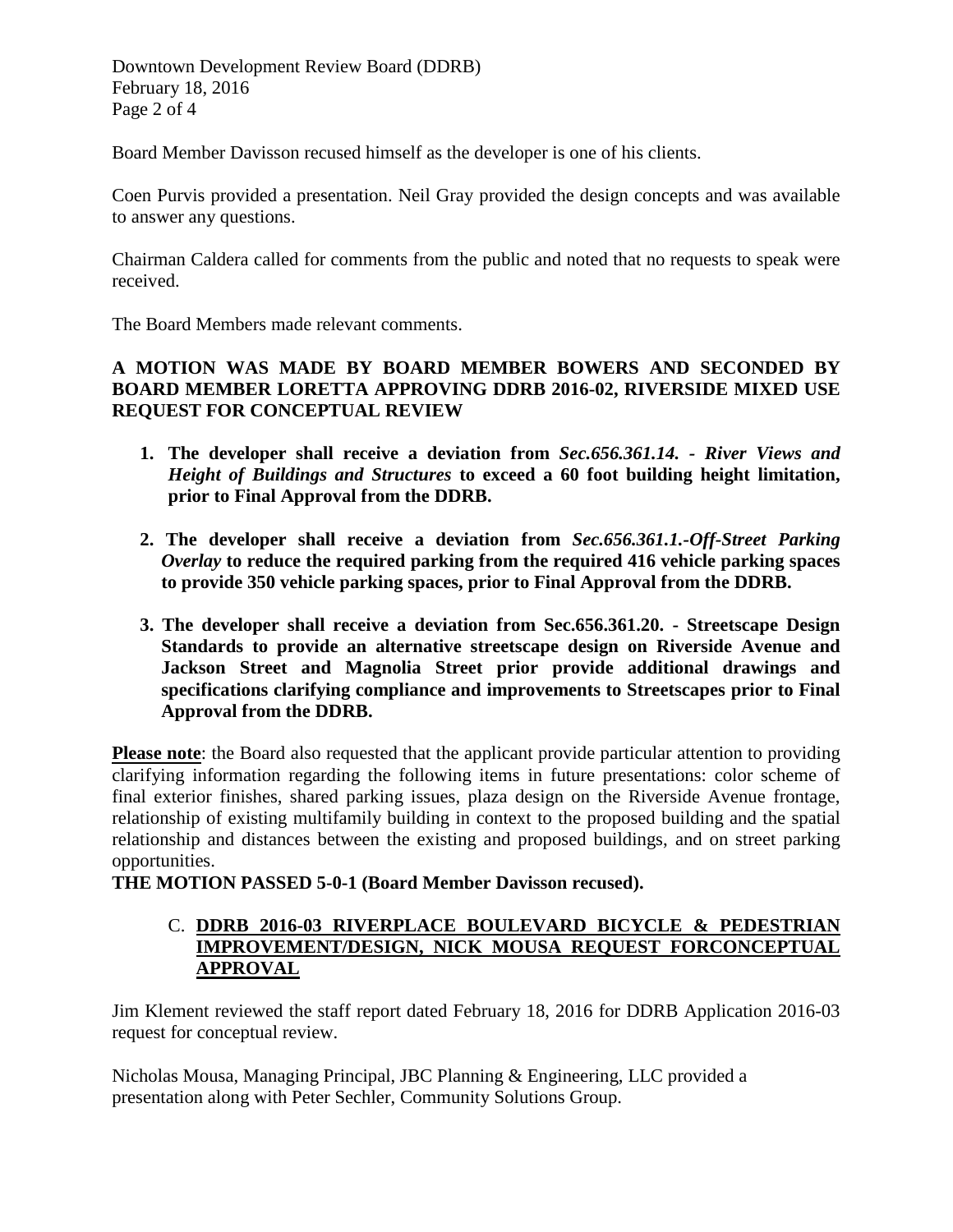Downtown Development Review Board (DDRB) February 18, 2016 Page 2 of 4

Board Member Davisson recused himself as the developer is one of his clients.

Coen Purvis provided a presentation. Neil Gray provided the design concepts and was available to answer any questions.

Chairman Caldera called for comments from the public and noted that no requests to speak were received.

The Board Members made relevant comments.

# **A MOTION WAS MADE BY BOARD MEMBER BOWERS AND SECONDED BY BOARD MEMBER LORETTA APPROVING DDRB 2016-02, RIVERSIDE MIXED USE REQUEST FOR CONCEPTUAL REVIEW**

- **1. The developer shall receive a deviation from** *Sec.656.361.14. - River Views and Height of Buildings and Structures* **to exceed a 60 foot building height limitation, prior to Final Approval from the DDRB.**
- **2. The developer shall receive a deviation from** *Sec.656.361.1.-Off-Street Parking Overlay* **to reduce the required parking from the required 416 vehicle parking spaces to provide 350 vehicle parking spaces, prior to Final Approval from the DDRB.**
- **3. The developer shall receive a deviation from Sec.656.361.20. - Streetscape Design Standards to provide an alternative streetscape design on Riverside Avenue and Jackson Street and Magnolia Street prior provide additional drawings and specifications clarifying compliance and improvements to Streetscapes prior to Final Approval from the DDRB.**

**Please note**: the Board also requested that the applicant provide particular attention to providing clarifying information regarding the following items in future presentations: color scheme of final exterior finishes, shared parking issues, plaza design on the Riverside Avenue frontage, relationship of existing multifamily building in context to the proposed building and the spatial relationship and distances between the existing and proposed buildings, and on street parking opportunities.

**THE MOTION PASSED 5-0-1 (Board Member Davisson recused).**

# C. **DDRB 2016-03 RIVERPLACE BOULEVARD BICYCLE & PEDESTRIAN IMPROVEMENT/DESIGN, NICK MOUSA REQUEST FORCONCEPTUAL APPROVAL**

Jim Klement reviewed the staff report dated February 18, 2016 for DDRB Application 2016-03 request for conceptual review.

Nicholas Mousa, Managing Principal, JBC Planning & Engineering, LLC provided a presentation along with Peter Sechler, Community Solutions Group.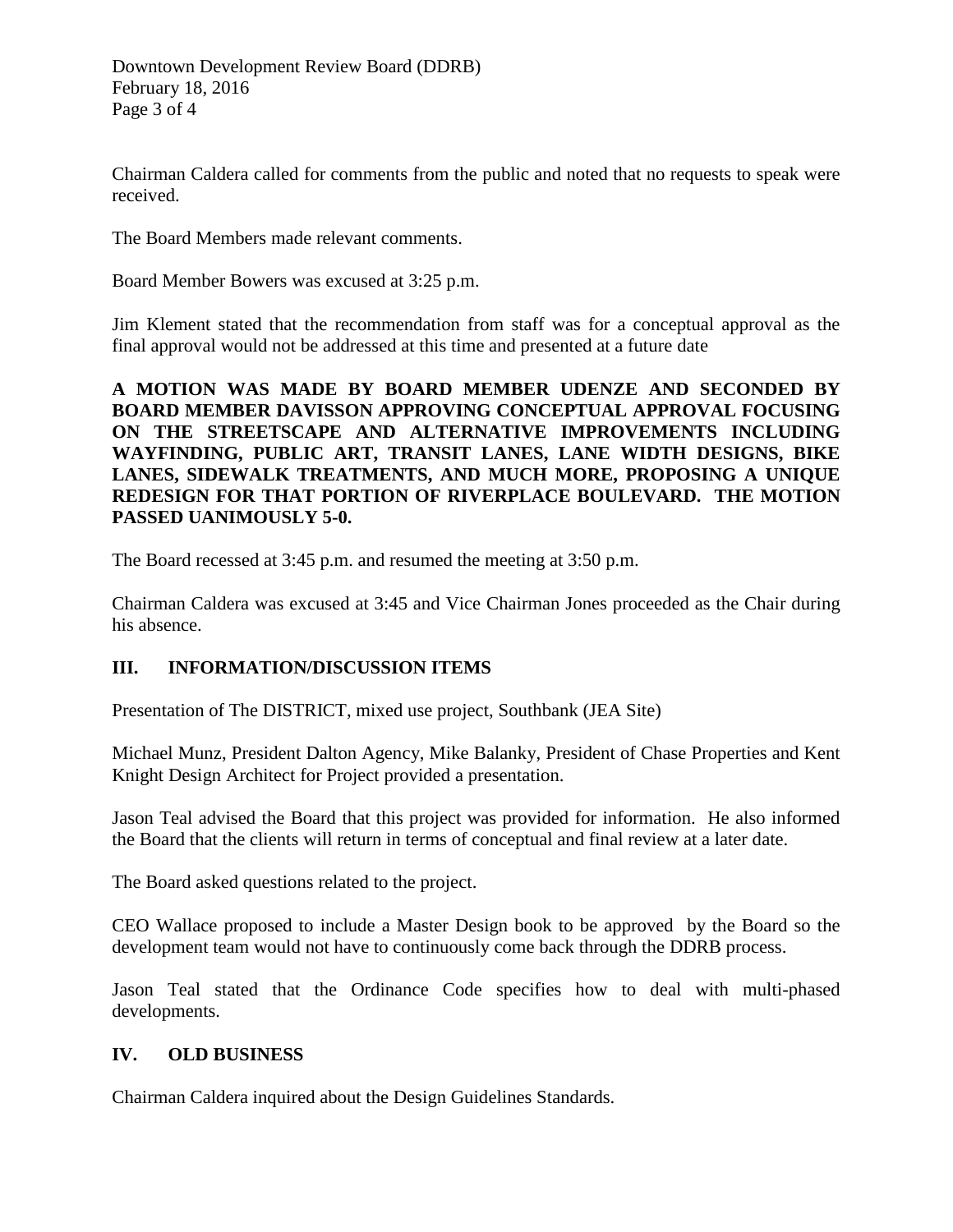Chairman Caldera called for comments from the public and noted that no requests to speak were received.

The Board Members made relevant comments.

Board Member Bowers was excused at 3:25 p.m.

Jim Klement stated that the recommendation from staff was for a conceptual approval as the final approval would not be addressed at this time and presented at a future date

**A MOTION WAS MADE BY BOARD MEMBER UDENZE AND SECONDED BY BOARD MEMBER DAVISSON APPROVING CONCEPTUAL APPROVAL FOCUSING ON THE STREETSCAPE AND ALTERNATIVE IMPROVEMENTS INCLUDING WAYFINDING, PUBLIC ART, TRANSIT LANES, LANE WIDTH DESIGNS, BIKE LANES, SIDEWALK TREATMENTS, AND MUCH MORE, PROPOSING A UNIQUE REDESIGN FOR THAT PORTION OF RIVERPLACE BOULEVARD. THE MOTION PASSED UANIMOUSLY 5-0.** 

The Board recessed at 3:45 p.m. and resumed the meeting at 3:50 p.m.

Chairman Caldera was excused at 3:45 and Vice Chairman Jones proceeded as the Chair during his absence.

# **III. INFORMATION/DISCUSSION ITEMS**

Presentation of The DISTRICT, mixed use project, Southbank (JEA Site)

Michael Munz, President Dalton Agency, Mike Balanky, President of Chase Properties and Kent Knight Design Architect for Project provided a presentation.

Jason Teal advised the Board that this project was provided for information. He also informed the Board that the clients will return in terms of conceptual and final review at a later date.

The Board asked questions related to the project.

CEO Wallace proposed to include a Master Design book to be approved by the Board so the development team would not have to continuously come back through the DDRB process.

Jason Teal stated that the Ordinance Code specifies how to deal with multi-phased developments.

#### **IV. OLD BUSINESS**

Chairman Caldera inquired about the Design Guidelines Standards.